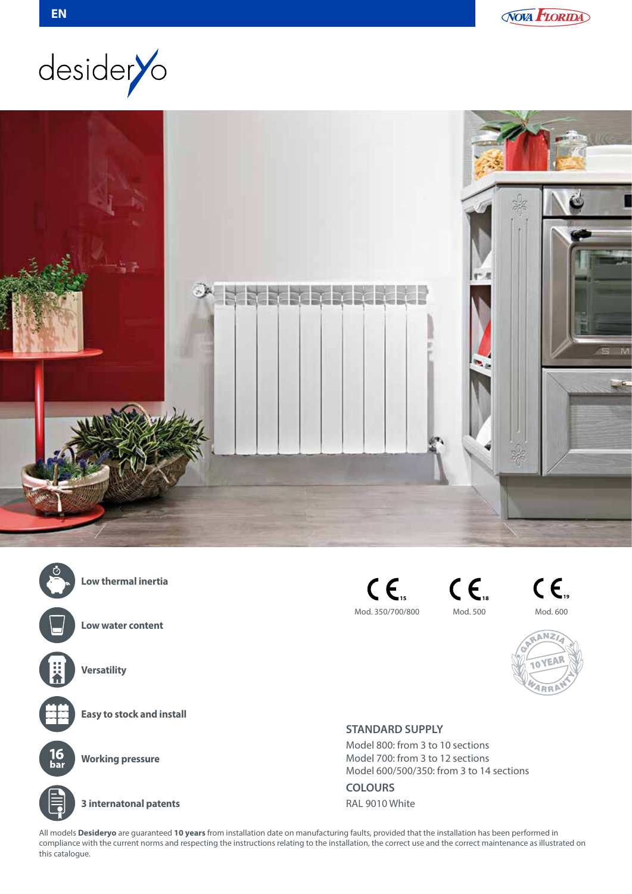







**Low thermal inertia**

**Low water content**





**Versatility**

**Easy to stock and install**



**Working pressure**



**3 internatonal patents**

**15** Mod. 350/700/800



**19** Mod. 600



## **STANDARD SUPPLY**

Model 800: from 3 to 10 sections Model 700: from 3 to 12 sections Model 600/500/350: from 3 to 14 sections

**COLOURS**

RAL 9010 White

All models **Desideryo** are guaranteed **10 years** from installation date on manufacturing faults, provided that the installation has been performed in compliance with the current norms and respecting the instructions relating to the installation, the correct use and the correct maintenance as illustrated on this catalogue.